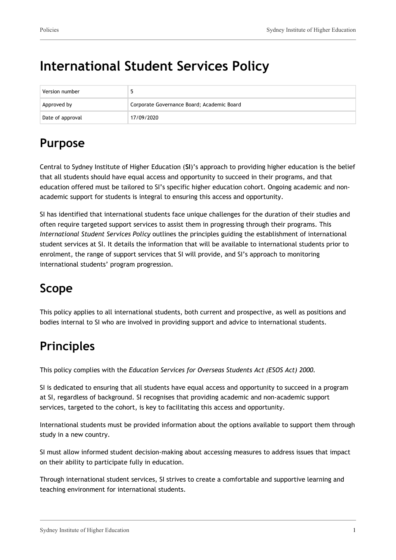# **International Student Services Policy**

| Version number   |                                            |
|------------------|--------------------------------------------|
| Approved by      | Corporate Governance Board; Academic Board |
| Date of approval | 17/09/2020                                 |

## **Purpose**

Central to Sydney Institute of Higher Education (**SI**)'s approach to providing higher education is the belief that all students should have equal access and opportunity to succeed in their programs, and that education offered must be tailored to SI's specific higher education cohort. Ongoing academic and nonacademic support for students is integral to ensuring this access and opportunity.

SI has identified that international students face unique challenges for the duration of their studies and often require targeted support services to assist them in progressing through their programs. This *International Student Services Policy* outlines the principles guiding the establishment of international student services at SI. It details the information that will be available to international students prior to enrolment, the range of support services that SI will provide, and SI's approach to monitoring international students' program progression.

## **Scope**

This policy applies to all international students, both current and prospective, as well as positions and bodies internal to SI who are involved in providing support and advice to international students.

## **Principles**

This policy complies with the *Education Services for Overseas Students Act (ESOS Act) 2000.*

SI is dedicated to ensuring that all students have equal access and opportunity to succeed in a program at SI, regardless of background. SI recognises that providing academic and non-academic support services, targeted to the cohort, is key to facilitating this access and opportunity.

International students must be provided information about the options available to support them through study in a new country.

SI must allow informed student decision-making about accessing measures to address issues that impact on their ability to participate fully in education.

Through international student services, SI strives to create a comfortable and supportive learning and teaching environment for international students.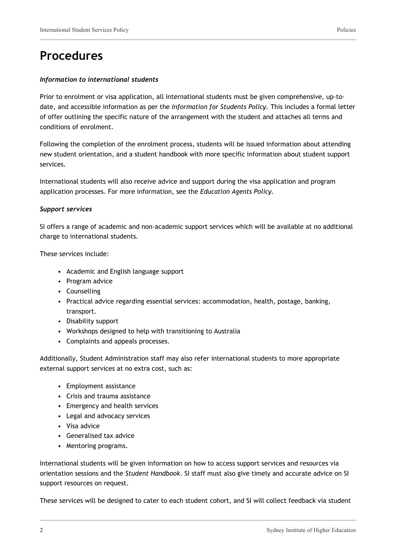#### *Information to international students*

Prior to enrolment or visa application, all international students must be given comprehensive, up-todate, and accessible information as per the *Information for Students Policy.* This includes a formal letter of offer outlining the specific nature of the arrangement with the student and attaches all terms and conditions of enrolment.

Following the completion of the enrolment process, students will be issued information about attending new student orientation, and a student handbook with more specific information about student support services.

International students will also receive advice and support during the visa application and program application processes. For more information, see the *Education Agents Policy.*

#### *Support services*

SI offers a range of academic and non-academic support services which will be available at no additional charge to international students.

These services include:

- Academic and English language support
- Program advice
- Counselling
- Practical advice regarding essential services: accommodation, health, postage, banking, transport.
- Disability support
- Workshops designed to help with transitioning to Australia
- Complaints and appeals processes.

Additionally, Student Administration staff may also refer international students to more appropriate external support services at no extra cost, such as:

- Employment assistance
- Crisis and trauma assistance
- Emergency and health services
- Legal and advocacy services
- Visa advice
- Generalised tax advice
- Mentoring programs.

International students will be given information on how to access support services and resources via orientation sessions and the *Student Handbook*. SI staff must also give timely and accurate advice on SI support resources on request.

These services will be designed to cater to each student cohort, and SI will collect feedback via student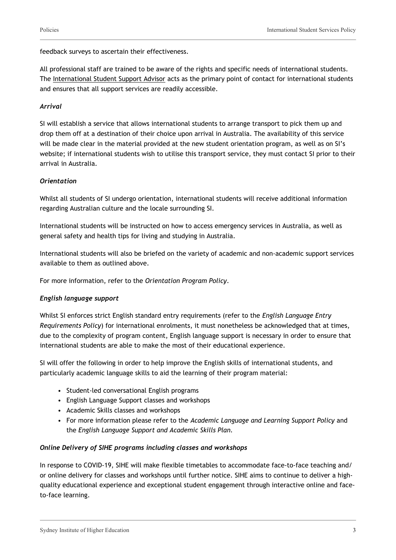feedback surveys to ascertain their effectiveness.

All professional staff are trained to be aware of the rights and specific needs of international students. The International Student Support Advisor acts as the primary point of contact for international students and ensures that all support services are readily accessible.

#### *Arrival*

SI will establish a service that allows international students to arrange transport to pick them up and drop them off at a destination of their choice upon arrival in Australia. The availability of this service will be made clear in the material provided at the new student orientation program, as well as on SI's website; if international students wish to utilise this transport service, they must contact SI prior to their arrival in Australia.

#### *Orientation*

Whilst all students of SI undergo orientation, international students will receive additional information regarding Australian culture and the locale surrounding SI.

International students will be instructed on how to access emergency services in Australia, as well as general safety and health tips for living and studying in Australia.

International students will also be briefed on the variety of academic and non-academic support services available to them as outlined above.

For more information, refer to the *Orientation Program Policy*.

#### *English language support*

Whilst SI enforces strict English standard entry requirements (refer to the *English Language Entry Requirements Policy*) for international enrolments, it must nonetheless be acknowledged that at times, due to the complexity of program content, English language support is necessary in order to ensure that international students are able to make the most of their educational experience.

SI will offer the following in order to help improve the English skills of international students, and particularly academic language skills to aid the learning of their program material:

- Student-led conversational English programs
- English Language Support classes and workshops
- Academic Skills classes and workshops
- For more information please refer to the *Academic Language and Learning Support Policy* and the *English Language Support and Academic Skills Plan.*

#### *Online Delivery of SIHE programs including classes and workshops*

In response to COVID-19, SIHE will make flexible timetables to accommodate face-to-face teaching and/ or online delivery for classes and workshops until further notice. SIHE aims to continue to deliver a highquality educational experience and exceptional student engagement through interactive online and faceto-face learning.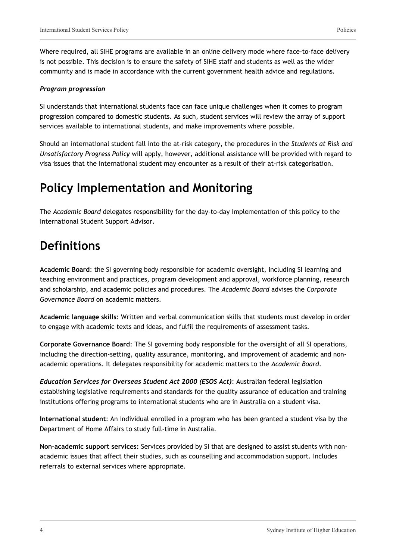Where required, all SIHE programs are available in an online delivery mode where face-to-face delivery is not possible. This decision is to ensure the safety of SIHE staff and students as well as the wider community and is made in accordance with the current government health advice and regulations.

#### *Program progression*

SI understands that international students face can face unique challenges when it comes to program progression compared to domestic students. As such, student services will review the array of support services available to international students, and make improvements where possible.

Should an international student fall into the at-risk category, the procedures in the *Students at Risk and Unsatisfactory Progress Policy* will apply, however, additional assistance will be provided with regard to visa issues that the international student may encounter as a result of their at-risk categorisation.

### **Policy Implementation and Monitoring**

The *Academic Board* delegates responsibility for the day-to-day implementation of this policy to the International Student Support Advisor.

### **Definitions**

**Academic Board**: the SI governing body responsible for academic oversight, including SI learning and teaching environment and practices, program development and approval, workforce planning, research and scholarship, and academic policies and procedures. The *Academic Board* advises the *Corporate Governance Board* on academic matters.

**Academic language skills**: Written and verbal communication skills that students must develop in order to engage with academic texts and ideas, and fulfil the requirements of assessment tasks.

**Corporate Governance Board**: The SI governing body responsible for the oversight of all SI operations, including the direction-setting, quality assurance, monitoring, and improvement of academic and nonacademic operations. It delegates responsibility for academic matters to the *Academic Board*.

*Education Services for Overseas Student Act 2000 (ESOS Act)*: Australian federal legislation establishing legislative requirements and standards for the quality assurance of education and training institutions offering programs to international students who are in Australia on a student visa.

**International student**: An individual enrolled in a program who has been granted a student visa by the Department of Home Affairs to study full-time in Australia.

**Non-academic support services:** Services provided by SI that are designed to assist students with nonacademic issues that affect their studies, such as counselling and accommodation support. Includes referrals to external services where appropriate.